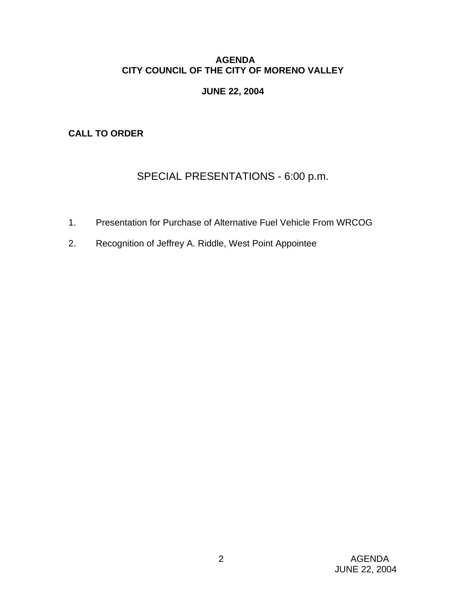### **AGENDA CITY COUNCIL OF THE CITY OF MORENO VALLEY**

### **JUNE 22, 2004**

**CALL TO ORDER** 

# SPECIAL PRESENTATIONS - 6:00 p.m.

- 1. Presentation for Purchase of Alternative Fuel Vehicle From WRCOG
- 2. Recognition of Jeffrey A. Riddle, West Point Appointee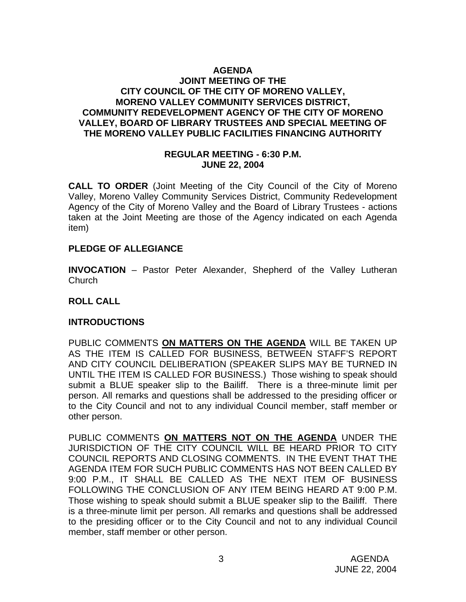### **AGENDA JOINT MEETING OF THE CITY COUNCIL OF THE CITY OF MORENO VALLEY, MORENO VALLEY COMMUNITY SERVICES DISTRICT, COMMUNITY REDEVELOPMENT AGENCY OF THE CITY OF MORENO VALLEY, BOARD OF LIBRARY TRUSTEES AND SPECIAL MEETING OF THE MORENO VALLEY PUBLIC FACILITIES FINANCING AUTHORITY**

### **REGULAR MEETING - 6:30 P.M. JUNE 22, 2004**

**CALL TO ORDER** (Joint Meeting of the City Council of the City of Moreno Valley, Moreno Valley Community Services District, Community Redevelopment Agency of the City of Moreno Valley and the Board of Library Trustees - actions taken at the Joint Meeting are those of the Agency indicated on each Agenda item)

### **PLEDGE OF ALLEGIANCE**

**INVOCATION** – Pastor Peter Alexander, Shepherd of the Valley Lutheran Church

### **ROLL CALL**

### **INTRODUCTIONS**

PUBLIC COMMENTS **ON MATTERS ON THE AGENDA** WILL BE TAKEN UP AS THE ITEM IS CALLED FOR BUSINESS, BETWEEN STAFF'S REPORT AND CITY COUNCIL DELIBERATION (SPEAKER SLIPS MAY BE TURNED IN UNTIL THE ITEM IS CALLED FOR BUSINESS.) Those wishing to speak should submit a BLUE speaker slip to the Bailiff. There is a three-minute limit per person. All remarks and questions shall be addressed to the presiding officer or to the City Council and not to any individual Council member, staff member or other person.

PUBLIC COMMENTS **ON MATTERS NOT ON THE AGENDA** UNDER THE JURISDICTION OF THE CITY COUNCIL WILL BE HEARD PRIOR TO CITY COUNCIL REPORTS AND CLOSING COMMENTS. IN THE EVENT THAT THE AGENDA ITEM FOR SUCH PUBLIC COMMENTS HAS NOT BEEN CALLED BY 9:00 P.M., IT SHALL BE CALLED AS THE NEXT ITEM OF BUSINESS FOLLOWING THE CONCLUSION OF ANY ITEM BEING HEARD AT 9:00 P.M. Those wishing to speak should submit a BLUE speaker slip to the Bailiff. There is a three-minute limit per person. All remarks and questions shall be addressed to the presiding officer or to the City Council and not to any individual Council member, staff member or other person.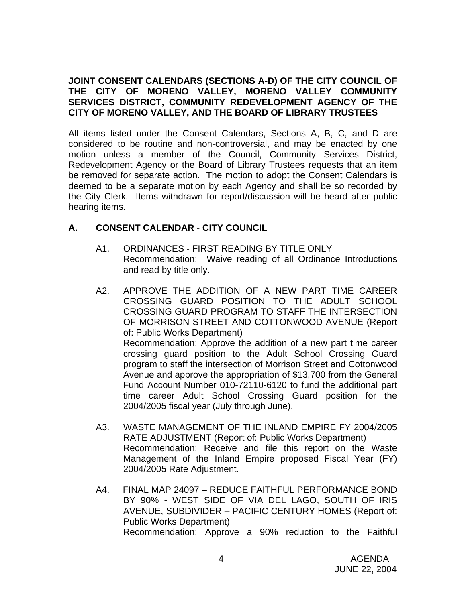### **JOINT CONSENT CALENDARS (SECTIONS A-D) OF THE CITY COUNCIL OF THE CITY OF MORENO VALLEY, MORENO VALLEY COMMUNITY SERVICES DISTRICT, COMMUNITY REDEVELOPMENT AGENCY OF THE CITY OF MORENO VALLEY, AND THE BOARD OF LIBRARY TRUSTEES**

All items listed under the Consent Calendars, Sections A, B, C, and D are considered to be routine and non-controversial, and may be enacted by one motion unless a member of the Council, Community Services District, Redevelopment Agency or the Board of Library Trustees requests that an item be removed for separate action. The motion to adopt the Consent Calendars is deemed to be a separate motion by each Agency and shall be so recorded by the City Clerk. Items withdrawn for report/discussion will be heard after public hearing items.

### **A. CONSENT CALENDAR** - **CITY COUNCIL**

- A1. ORDINANCES FIRST READING BY TITLE ONLY Recommendation: Waive reading of all Ordinance Introductions and read by title only.
- A2. APPROVE THE ADDITION OF A NEW PART TIME CAREER CROSSING GUARD POSITION TO THE ADULT SCHOOL CROSSING GUARD PROGRAM TO STAFF THE INTERSECTION OF MORRISON STREET AND COTTONWOOD AVENUE (Report of: Public Works Department) Recommendation: Approve the addition of a new part time career crossing guard position to the Adult School Crossing Guard program to staff the intersection of Morrison Street and Cottonwood Avenue and approve the appropriation of \$13,700 from the General Fund Account Number 010-72110-6120 to fund the additional part time career Adult School Crossing Guard position for the 2004/2005 fiscal year (July through June).
- A3. WASTE MANAGEMENT OF THE INLAND EMPIRE FY 2004/2005 RATE ADJUSTMENT (Report of: Public Works Department) Recommendation: Receive and file this report on the Waste Management of the Inland Empire proposed Fiscal Year (FY) 2004/2005 Rate Adjustment.
- A4. FINAL MAP 24097 REDUCE FAITHFUL PERFORMANCE BOND BY 90% - WEST SIDE OF VIA DEL LAGO, SOUTH OF IRIS AVENUE, SUBDIVIDER – PACIFIC CENTURY HOMES (Report of: Public Works Department) Recommendation: Approve a 90% reduction to the Faithful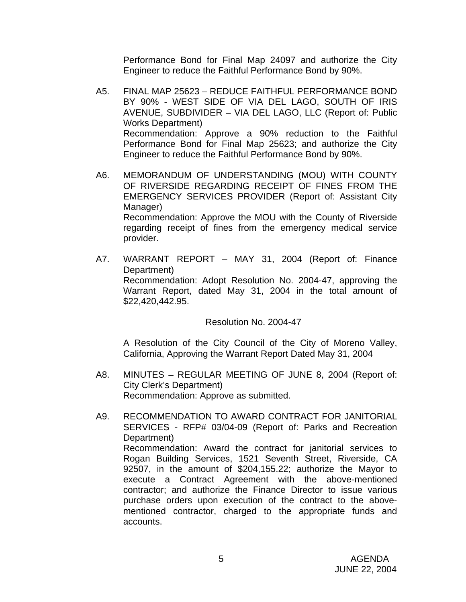Performance Bond for Final Map 24097 and authorize the City Engineer to reduce the Faithful Performance Bond by 90%.

- A5. FINAL MAP 25623 REDUCE FAITHFUL PERFORMANCE BOND BY 90% - WEST SIDE OF VIA DEL LAGO, SOUTH OF IRIS AVENUE, SUBDIVIDER – VIA DEL LAGO, LLC (Report of: Public Works Department) Recommendation: Approve a 90% reduction to the Faithful Performance Bond for Final Map 25623; and authorize the City Engineer to reduce the Faithful Performance Bond by 90%.
- A6. MEMORANDUM OF UNDERSTANDING (MOU) WITH COUNTY OF RIVERSIDE REGARDING RECEIPT OF FINES FROM THE EMERGENCY SERVICES PROVIDER (Report of: Assistant City Manager) Recommendation: Approve the MOU with the County of Riverside regarding receipt of fines from the emergency medical service provider.
- A7. WARRANT REPORT MAY 31, 2004 (Report of: Finance Department) Recommendation: Adopt Resolution No. 2004-47, approving the Warrant Report, dated May 31, 2004 in the total amount of \$22,420,442.95.

### Resolution No. 2004-47

 A Resolution of the City Council of the City of Moreno Valley, California, Approving the Warrant Report Dated May 31, 2004

- A8. MINUTES REGULAR MEETING OF JUNE 8, 2004 (Report of: City Clerk's Department) Recommendation: Approve as submitted.
- A9. RECOMMENDATION TO AWARD CONTRACT FOR JANITORIAL SERVICES - RFP# 03/04-09 (Report of: Parks and Recreation Department) Recommendation: Award the contract for janitorial services to Rogan Building Services, 1521 Seventh Street, Riverside, CA 92507, in the amount of \$204,155.22; authorize the Mayor to execute a Contract Agreement with the above-mentioned contractor; and authorize the Finance Director to issue various purchase orders upon execution of the contract to the abovementioned contractor, charged to the appropriate funds and accounts.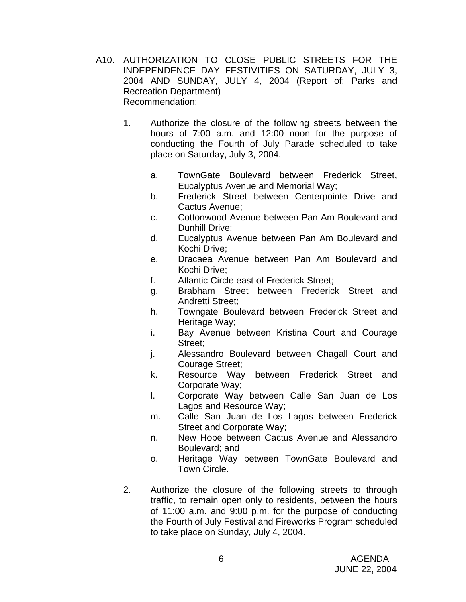- A10. AUTHORIZATION TO CLOSE PUBLIC STREETS FOR THE INDEPENDENCE DAY FESTIVITIES ON SATURDAY, JULY 3, 2004 AND SUNDAY, JULY 4, 2004 (Report of: Parks and Recreation Department) Recommendation:
	- 1. Authorize the closure of the following streets between the hours of 7:00 a.m. and 12:00 noon for the purpose of conducting the Fourth of July Parade scheduled to take place on Saturday, July 3, 2004.
		- a. TownGate Boulevard between Frederick Street, Eucalyptus Avenue and Memorial Way;
		- b. Frederick Street between Centerpointe Drive and Cactus Avenue;
		- c. Cottonwood Avenue between Pan Am Boulevard and Dunhill Drive;
		- d. Eucalyptus Avenue between Pan Am Boulevard and Kochi Drive;
		- e. Dracaea Avenue between Pan Am Boulevard and Kochi Drive;
		- f. Atlantic Circle east of Frederick Street;
		- g. Brabham Street between Frederick Street and Andretti Street;
		- h. Towngate Boulevard between Frederick Street and Heritage Way:
		- i. Bay Avenue between Kristina Court and Courage Street;
		- j. Alessandro Boulevard between Chagall Court and Courage Street;
		- k. Resource Way between Frederick Street and Corporate Way;
		- l. Corporate Way between Calle San Juan de Los Lagos and Resource Way;
		- m. Calle San Juan de Los Lagos between Frederick Street and Corporate Way;
		- n. New Hope between Cactus Avenue and Alessandro Boulevard; and
		- o. Heritage Way between TownGate Boulevard and Town Circle.
	- 2. Authorize the closure of the following streets to through traffic, to remain open only to residents, between the hours of 11:00 a.m. and 9:00 p.m. for the purpose of conducting the Fourth of July Festival and Fireworks Program scheduled to take place on Sunday, July 4, 2004.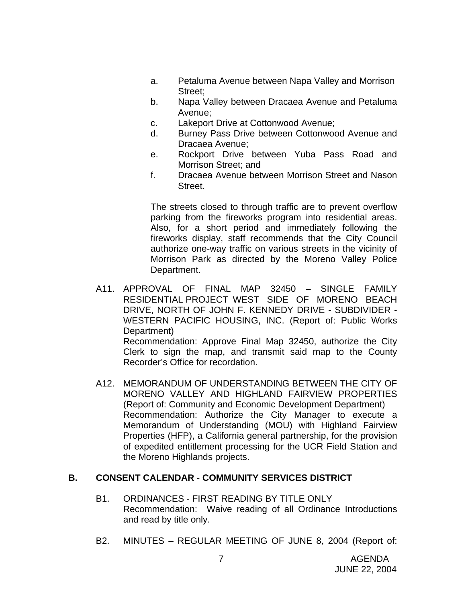- a. Petaluma Avenue between Napa Valley and Morrison Street;
- b. Napa Valley between Dracaea Avenue and Petaluma Avenue;
- c. Lakeport Drive at Cottonwood Avenue;
- d. Burney Pass Drive between Cottonwood Avenue and Dracaea Avenue;
- e. Rockport Drive between Yuba Pass Road and Morrison Street; and
- f. Dracaea Avenue between Morrison Street and Nason Street.

The streets closed to through traffic are to prevent overflow parking from the fireworks program into residential areas. Also, for a short period and immediately following the fireworks display, staff recommends that the City Council authorize one-way traffic on various streets in the vicinity of Morrison Park as directed by the Moreno Valley Police Department.

- A11. APPROVAL OF FINAL MAP 32450 SINGLE FAMILY RESIDENTIAL PROJECT WEST SIDE OF MORENO BEACH DRIVE, NORTH OF JOHN F. KENNEDY DRIVE - SUBDIVIDER - WESTERN PACIFIC HOUSING, INC. (Report of: Public Works Department) Recommendation: Approve Final Map 32450, authorize the City Clerk to sign the map, and transmit said map to the County Recorder's Office for recordation.
- A12. MEMORANDUM OF UNDERSTANDING BETWEEN THE CITY OF MORENO VALLEY AND HIGHLAND FAIRVIEW PROPERTIES (Report of: Community and Economic Development Department) Recommendation: Authorize the City Manager to execute a Memorandum of Understanding (MOU) with Highland Fairview Properties (HFP), a California general partnership, for the provision of expedited entitlement processing for the UCR Field Station and the Moreno Highlands projects.

### **B. CONSENT CALENDAR** - **COMMUNITY SERVICES DISTRICT**

- B1. ORDINANCES FIRST READING BY TITLE ONLY Recommendation: Waive reading of all Ordinance Introductions and read by title only.
- B2. MINUTES REGULAR MEETING OF JUNE 8, 2004 (Report of: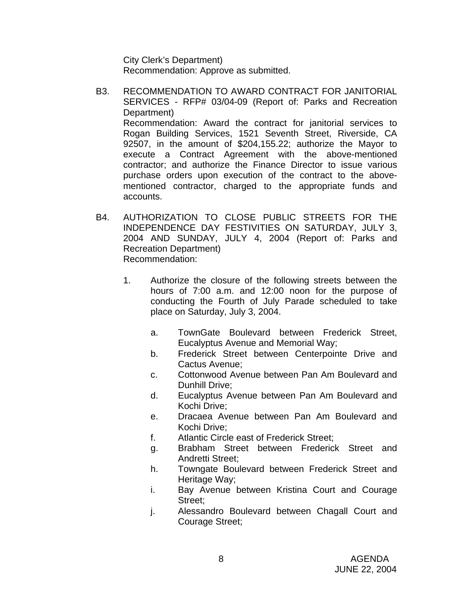City Clerk's Department) Recommendation: Approve as submitted.

- B3. RECOMMENDATION TO AWARD CONTRACT FOR JANITORIAL SERVICES - RFP# 03/04-09 (Report of: Parks and Recreation Department) Recommendation: Award the contract for janitorial services to Rogan Building Services, 1521 Seventh Street, Riverside, CA 92507, in the amount of \$204,155.22; authorize the Mayor to execute a Contract Agreement with the above-mentioned contractor; and authorize the Finance Director to issue various purchase orders upon execution of the contract to the abovementioned contractor, charged to the appropriate funds and accounts.
- B4. AUTHORIZATION TO CLOSE PUBLIC STREETS FOR THE INDEPENDENCE DAY FESTIVITIES ON SATURDAY, JULY 3, 2004 AND SUNDAY, JULY 4, 2004 (Report of: Parks and Recreation Department) Recommendation:
	- 1. Authorize the closure of the following streets between the hours of 7:00 a.m. and 12:00 noon for the purpose of conducting the Fourth of July Parade scheduled to take place on Saturday, July 3, 2004.
		- a. TownGate Boulevard between Frederick Street, Eucalyptus Avenue and Memorial Way;
		- b. Frederick Street between Centerpointe Drive and Cactus Avenue;
		- c. Cottonwood Avenue between Pan Am Boulevard and Dunhill Drive;
		- d. Eucalyptus Avenue between Pan Am Boulevard and Kochi Drive;
		- e. Dracaea Avenue between Pan Am Boulevard and Kochi Drive;
		- f. Atlantic Circle east of Frederick Street;
		- g. Brabham Street between Frederick Street and Andretti Street;
		- h. Towngate Boulevard between Frederick Street and Heritage Way;
		- i. Bay Avenue between Kristina Court and Courage Street;
		- j. Alessandro Boulevard between Chagall Court and Courage Street;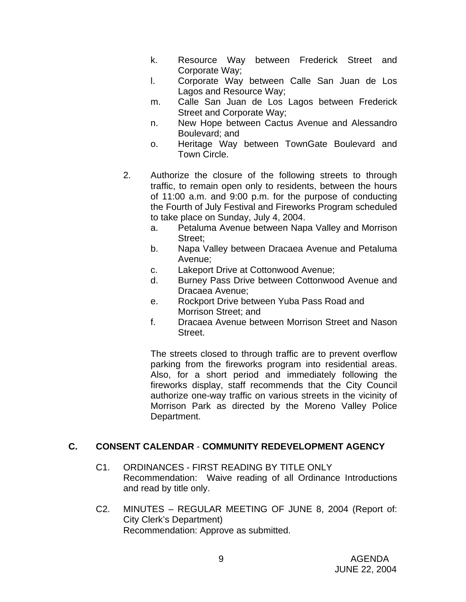- k. Resource Way between Frederick Street and Corporate Way;
- l. Corporate Way between Calle San Juan de Los Lagos and Resource Way;
- m. Calle San Juan de Los Lagos between Frederick Street and Corporate Way;
- n. New Hope between Cactus Avenue and Alessandro Boulevard; and
- o. Heritage Way between TownGate Boulevard and Town Circle.
- 2. Authorize the closure of the following streets to through traffic, to remain open only to residents, between the hours of 11:00 a.m. and 9:00 p.m. for the purpose of conducting the Fourth of July Festival and Fireworks Program scheduled to take place on Sunday, July 4, 2004.
	- a. Petaluma Avenue between Napa Valley and Morrison Street;
	- b. Napa Valley between Dracaea Avenue and Petaluma Avenue;
	- c. Lakeport Drive at Cottonwood Avenue;
	- d. Burney Pass Drive between Cottonwood Avenue and Dracaea Avenue;
	- e. Rockport Drive between Yuba Pass Road and Morrison Street; and
	- f. Dracaea Avenue between Morrison Street and Nason Street.

The streets closed to through traffic are to prevent overflow parking from the fireworks program into residential areas. Also, for a short period and immediately following the fireworks display, staff recommends that the City Council authorize one-way traffic on various streets in the vicinity of Morrison Park as directed by the Moreno Valley Police Department.

## **C. CONSENT CALENDAR** - **COMMUNITY REDEVELOPMENT AGENCY**

- C1. ORDINANCES FIRST READING BY TITLE ONLY Recommendation: Waive reading of all Ordinance Introductions and read by title only.
- C2. MINUTES REGULAR MEETING OF JUNE 8, 2004 (Report of: City Clerk's Department) Recommendation: Approve as submitted.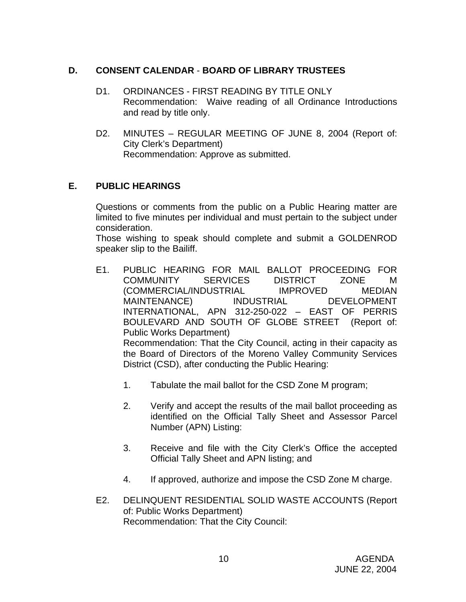### **D. CONSENT CALENDAR** - **BOARD OF LIBRARY TRUSTEES**

- D1. ORDINANCES FIRST READING BY TITLE ONLY Recommendation: Waive reading of all Ordinance Introductions and read by title only.
- D2. MINUTES REGULAR MEETING OF JUNE 8, 2004 (Report of: City Clerk's Department) Recommendation: Approve as submitted.

### **E. PUBLIC HEARINGS**

Questions or comments from the public on a Public Hearing matter are limited to five minutes per individual and must pertain to the subject under consideration.

 Those wishing to speak should complete and submit a GOLDENROD speaker slip to the Bailiff.

- E1. PUBLIC HEARING FOR MAIL BALLOT PROCEEDING FOR COMMUNITY SERVICES DISTRICT ZONE M (COMMERCIAL/INDUSTRIAL IMPROVED MEDIAN MAINTENANCE) INDUSTRIAL DEVELOPMENT INTERNATIONAL, APN 312-250-022 – EAST OF PERRIS BOULEVARD AND SOUTH OF GLOBE STREET (Report of: Public Works Department) Recommendation: That the City Council, acting in their capacity as the Board of Directors of the Moreno Valley Community Services District (CSD), after conducting the Public Hearing:
	- 1. Tabulate the mail ballot for the CSD Zone M program;
	- 2. Verify and accept the results of the mail ballot proceeding as identified on the Official Tally Sheet and Assessor Parcel Number (APN) Listing:
	- 3. Receive and file with the City Clerk's Office the accepted Official Tally Sheet and APN listing; and
	- 4. If approved, authorize and impose the CSD Zone M charge.
- E2. DELINQUENT RESIDENTIAL SOLID WASTE ACCOUNTS (Report of: Public Works Department) Recommendation: That the City Council: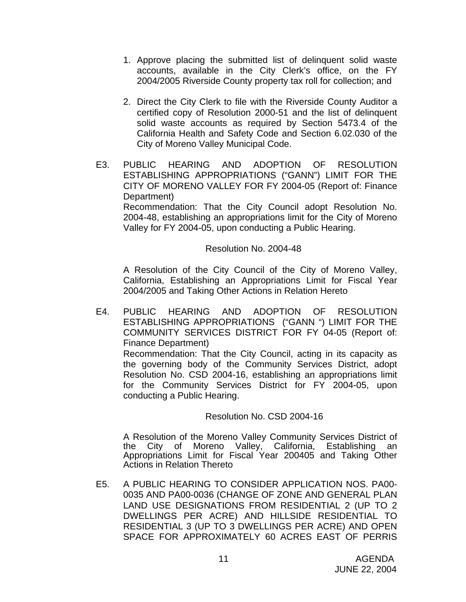- 1. Approve placing the submitted list of delinquent solid waste accounts, available in the City Clerk's office, on the FY 2004/2005 Riverside County property tax roll for collection; and
- 2. Direct the City Clerk to file with the Riverside County Auditor a certified copy of Resolution 2000-51 and the list of delinquent solid waste accounts as required by Section 5473.4 of the California Health and Safety Code and Section 6.02.030 of the City of Moreno Valley Municipal Code.
- E3. PUBLIC HEARING AND ADOPTION OF RESOLUTION ESTABLISHING APPROPRIATIONS ("GANN") LIMIT FOR THE CITY OF MORENO VALLEY FOR FY 2004-05 (Report of: Finance Department)

 Recommendation: That the City Council adopt Resolution No. 2004-48, establishing an appropriations limit for the City of Moreno Valley for FY 2004-05, upon conducting a Public Hearing.

### Resolution No. 2004-48

 A Resolution of the City Council of the City of Moreno Valley, California, Establishing an Appropriations Limit for Fiscal Year 2004/2005 and Taking Other Actions in Relation Hereto

E4. PUBLIC HEARING AND ADOPTION OF RESOLUTION ESTABLISHING APPROPRIATIONS ("GANN ") LIMIT FOR THE COMMUNITY SERVICES DISTRICT FOR FY 04-05 (Report of: Finance Department) Recommendation: That the City Council, acting in its capacity as the governing body of the Community Services District, adopt

Resolution No. CSD 2004-16, establishing an appropriations limit for the Community Services District for FY 2004-05, upon conducting a Public Hearing.

### Resolution No. CSD 2004-16

A Resolution of the Moreno Valley Community Services District of the City of Moreno Valley, California, Establishing an Appropriations Limit for Fiscal Year 200405 and Taking Other Actions in Relation Thereto

E5. A PUBLIC HEARING TO CONSIDER APPLICATION NOS. PA00- 0035 AND PA00-0036 (CHANGE OF ZONE AND GENERAL PLAN LAND USE DESIGNATIONS FROM RESIDENTIAL 2 (UP TO 2 DWELLINGS PER ACRE) AND HILLSIDE RESIDENTIAL TO RESIDENTIAL 3 (UP TO 3 DWELLINGS PER ACRE) AND OPEN SPACE FOR APPROXIMATELY 60 ACRES EAST OF PERRIS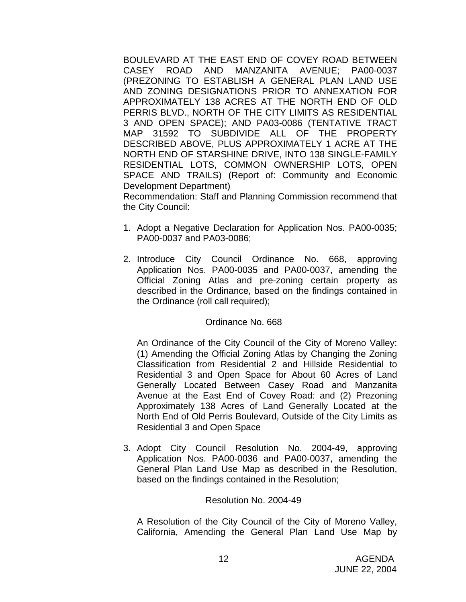BOULEVARD AT THE EAST END OF COVEY ROAD BETWEEN CASEY ROAD AND MANZANITA AVENUE; PA00-0037 (PREZONING TO ESTABLISH A GENERAL PLAN LAND USE AND ZONING DESIGNATIONS PRIOR TO ANNEXATION FOR APPROXIMATELY 138 ACRES AT THE NORTH END OF OLD PERRIS BLVD., NORTH OF THE CITY LIMITS AS RESIDENTIAL 3 AND OPEN SPACE); AND PA03-0086 (TENTATIVE TRACT MAP 31592 TO SUBDIVIDE ALL OF THE PROPERTY DESCRIBED ABOVE, PLUS APPROXIMATELY 1 ACRE AT THE NORTH END OF STARSHINE DRIVE, INTO 138 SINGLE-FAMILY RESIDENTIAL LOTS, COMMON OWNERSHIP LOTS, OPEN SPACE AND TRAILS) (Report of: Community and Economic Development Department)

 Recommendation: Staff and Planning Commission recommend that the City Council:

- 1. Adopt a Negative Declaration for Application Nos. PA00-0035; PA00-0037 and PA03-0086;
- 2. Introduce City Council Ordinance No. 668, approving Application Nos. PA00-0035 and PA00-0037, amending the Official Zoning Atlas and pre-zoning certain property as described in the Ordinance, based on the findings contained in the Ordinance (roll call required);

### Ordinance No. 668

 An Ordinance of the City Council of the City of Moreno Valley: (1) Amending the Official Zoning Atlas by Changing the Zoning Classification from Residential 2 and Hillside Residential to Residential 3 and Open Space for About 60 Acres of Land Generally Located Between Casey Road and Manzanita Avenue at the East End of Covey Road: and (2) Prezoning Approximately 138 Acres of Land Generally Located at the North End of Old Perris Boulevard, Outside of the City Limits as Residential 3 and Open Space

3. Adopt City Council Resolution No. 2004-49, approving Application Nos. PA00-0036 and PA00-0037, amending the General Plan Land Use Map as described in the Resolution, based on the findings contained in the Resolution;

#### Resolution No. 2004-49

 A Resolution of the City Council of the City of Moreno Valley, California, Amending the General Plan Land Use Map by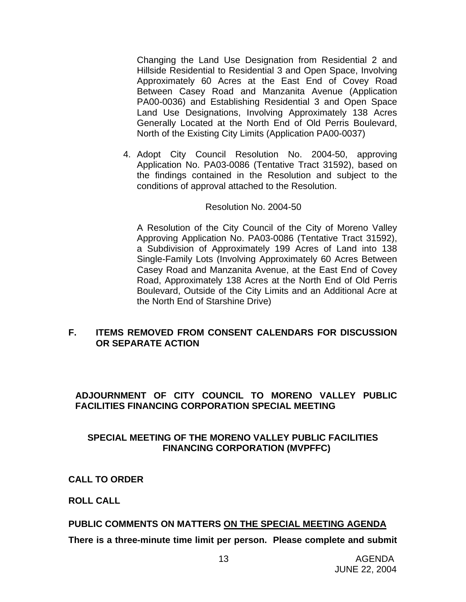Changing the Land Use Designation from Residential 2 and Hillside Residential to Residential 3 and Open Space, Involving Approximately 60 Acres at the East End of Covey Road Between Casey Road and Manzanita Avenue (Application PA00-0036) and Establishing Residential 3 and Open Space Land Use Designations, Involving Approximately 138 Acres Generally Located at the North End of Old Perris Boulevard, North of the Existing City Limits (Application PA00-0037)

4. Adopt City Council Resolution No. 2004-50, approving Application No. PA03-0086 (Tentative Tract 31592), based on the findings contained in the Resolution and subject to the conditions of approval attached to the Resolution.

#### Resolution No. 2004-50

 A Resolution of the City Council of the City of Moreno Valley Approving Application No. PA03-0086 (Tentative Tract 31592), a Subdivision of Approximately 199 Acres of Land into 138 Single-Family Lots (Involving Approximately 60 Acres Between Casey Road and Manzanita Avenue, at the East End of Covey Road, Approximately 138 Acres at the North End of Old Perris Boulevard, Outside of the City Limits and an Additional Acre at the North End of Starshine Drive)

### **F. ITEMS REMOVED FROM CONSENT CALENDARS FOR DISCUSSION OR SEPARATE ACTION**

### **ADJOURNMENT OF CITY COUNCIL TO MORENO VALLEY PUBLIC FACILITIES FINANCING CORPORATION SPECIAL MEETING**

### **SPECIAL MEETING OF THE MORENO VALLEY PUBLIC FACILITIES FINANCING CORPORATION (MVPFFC)**

**CALL TO ORDER** 

 **ROLL CALL** 

### **PUBLIC COMMENTS ON MATTERS ON THE SPECIAL MEETING AGENDA**

**There is a three-minute time limit per person. Please complete and submit**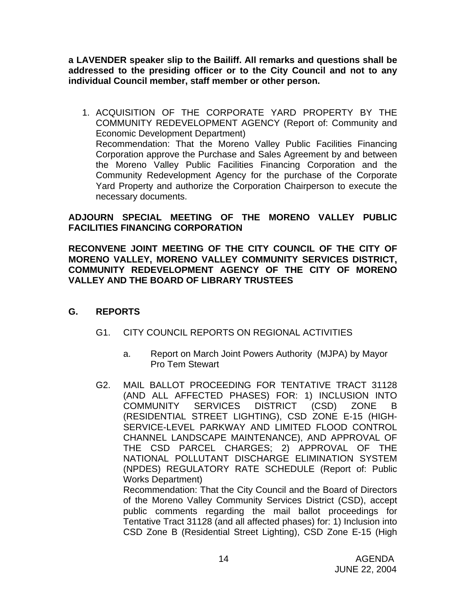**a LAVENDER speaker slip to the Bailiff. All remarks and questions shall be addressed to the presiding officer or to the City Council and not to any individual Council member, staff member or other person.** 

1. ACQUISITION OF THE CORPORATE YARD PROPERTY BY THE COMMUNITY REDEVELOPMENT AGENCY (Report of: Community and Economic Development Department) Recommendation: That the Moreno Valley Public Facilities Financing Corporation approve the Purchase and Sales Agreement by and between the Moreno Valley Public Facilities Financing Corporation and the Community Redevelopment Agency for the purchase of the Corporate Yard Property and authorize the Corporation Chairperson to execute the necessary documents.

### **ADJOURN SPECIAL MEETING OF THE MORENO VALLEY PUBLIC FACILITIES FINANCING CORPORATION**

### **RECONVENE JOINT MEETING OF THE CITY COUNCIL OF THE CITY OF MORENO VALLEY, MORENO VALLEY COMMUNITY SERVICES DISTRICT, COMMUNITY REDEVELOPMENT AGENCY OF THE CITY OF MORENO VALLEY AND THE BOARD OF LIBRARY TRUSTEES**

### **G. REPORTS**

- G1. CITY COUNCIL REPORTS ON REGIONAL ACTIVITIES
	- a. Report on March Joint Powers Authority (MJPA) by Mayor Pro Tem Stewart
- G2. MAIL BALLOT PROCEEDING FOR TENTATIVE TRACT 31128 (AND ALL AFFECTED PHASES) FOR: 1) INCLUSION INTO COMMUNITY SERVICES DISTRICT (CSD) ZONE B (RESIDENTIAL STREET LIGHTING), CSD ZONE E-15 (HIGH-SERVICE-LEVEL PARKWAY AND LIMITED FLOOD CONTROL CHANNEL LANDSCAPE MAINTENANCE), AND APPROVAL OF THE CSD PARCEL CHARGES; 2) APPROVAL OF THE NATIONAL POLLUTANT DISCHARGE ELIMINATION SYSTEM (NPDES) REGULATORY RATE SCHEDULE (Report of: Public Works Department) Recommendation: That the City Council and the Board of Directors of the Moreno Valley Community Services District (CSD), accept public comments regarding the mail ballot proceedings for Tentative Tract 31128 (and all affected phases) for: 1) Inclusion into

CSD Zone B (Residential Street Lighting), CSD Zone E-15 (High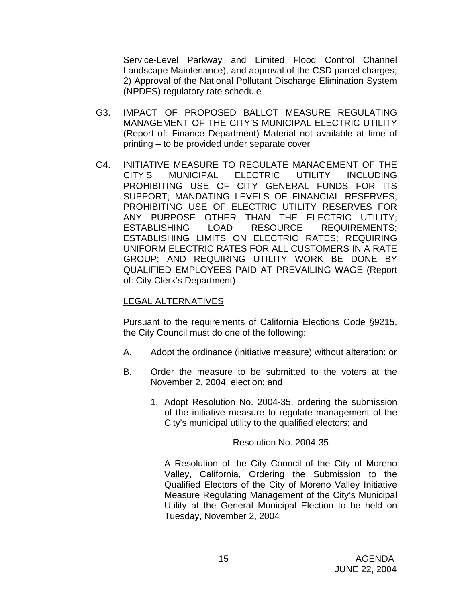Service-Level Parkway and Limited Flood Control Channel Landscape Maintenance), and approval of the CSD parcel charges; 2) Approval of the National Pollutant Discharge Elimination System (NPDES) regulatory rate schedule

- G3. IMPACT OF PROPOSED BALLOT MEASURE REGULATING MANAGEMENT OF THE CITY'S MUNICIPAL ELECTRIC UTILITY (Report of: Finance Department) Material not available at time of printing – to be provided under separate cover
- G4. INITIATIVE MEASURE TO REGULATE MANAGEMENT OF THE CITY'S MUNICIPAL ELECTRIC UTILITY INCLUDING PROHIBITING USE OF CITY GENERAL FUNDS FOR ITS SUPPORT; MANDATING LEVELS OF FINANCIAL RESERVES; PROHIBITING USE OF ELECTRIC UTILITY RESERVES FOR ANY PURPOSE OTHER THAN THE ELECTRIC UTILITY; ESTABLISHING LOAD RESOURCE REQUIREMENTS; ESTABLISHING LIMITS ON ELECTRIC RATES; REQUIRING UNIFORM ELECTRIC RATES FOR ALL CUSTOMERS IN A RATE GROUP; AND REQUIRING UTILITY WORK BE DONE BY QUALIFIED EMPLOYEES PAID AT PREVAILING WAGE (Report of: City Clerk's Department)

### LEGAL ALTERNATIVES

Pursuant to the requirements of California Elections Code §9215, the City Council must do one of the following:

- A. Adopt the ordinance (initiative measure) without alteration; or
- B. Order the measure to be submitted to the voters at the November 2, 2004, election; and
	- 1. Adopt Resolution No. 2004-35, ordering the submission of the initiative measure to regulate management of the City's municipal utility to the qualified electors; and

### Resolution No. 2004-35

A Resolution of the City Council of the City of Moreno Valley, California, Ordering the Submission to the Qualified Electors of the City of Moreno Valley Initiative Measure Regulating Management of the City's Municipal Utility at the General Municipal Election to be held on Tuesday, November 2, 2004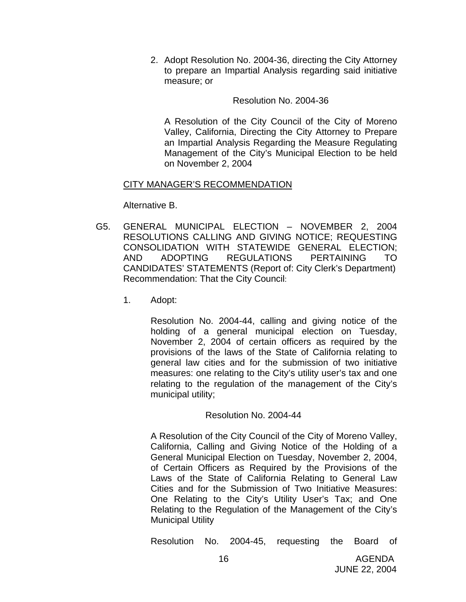2. Adopt Resolution No. 2004-36, directing the City Attorney to prepare an Impartial Analysis regarding said initiative measure; or

#### Resolution No. 2004-36

A Resolution of the City Council of the City of Moreno Valley, California, Directing the City Attorney to Prepare an Impartial Analysis Regarding the Measure Regulating Management of the City's Municipal Election to be held on November 2, 2004

### CITY MANAGER'S RECOMMENDATION

Alternative B.

- G5. GENERAL MUNICIPAL ELECTION NOVEMBER 2, 2004 RESOLUTIONS CALLING AND GIVING NOTICE; REQUESTING CONSOLIDATION WITH STATEWIDE GENERAL ELECTION; AND ADOPTING REGULATIONS PERTAINING TO CANDIDATES' STATEMENTS (Report of: City Clerk's Department) Recommendation: That the City Council:
	- 1. Adopt:

Resolution No. 2004-44, calling and giving notice of the holding of a general municipal election on Tuesday, November 2, 2004 of certain officers as required by the provisions of the laws of the State of California relating to general law cities and for the submission of two initiative measures: one relating to the City's utility user's tax and one relating to the regulation of the management of the City's municipal utility;

### Resolution No. 2004-44

 A Resolution of the City Council of the City of Moreno Valley, California, Calling and Giving Notice of the Holding of a General Municipal Election on Tuesday, November 2, 2004, of Certain Officers as Required by the Provisions of the Laws of the State of California Relating to General Law Cities and for the Submission of Two Initiative Measures: One Relating to the City's Utility User's Tax; and One Relating to the Regulation of the Management of the City's Municipal Utility

Resolution No. 2004-45, requesting the Board of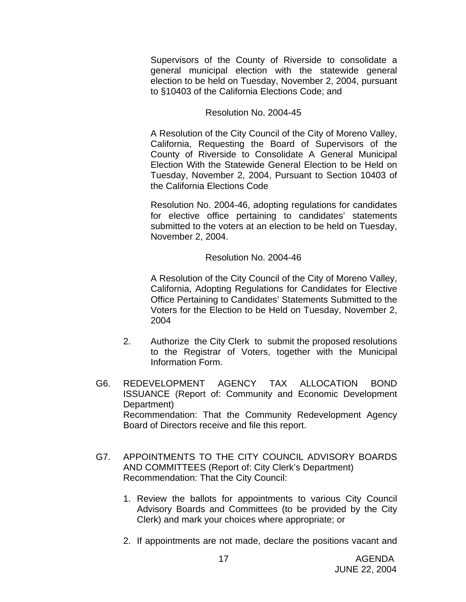Supervisors of the County of Riverside to consolidate a general municipal election with the statewide general election to be held on Tuesday, November 2, 2004, pursuant to §10403 of the California Elections Code; and

### Resolution No. 2004-45

A Resolution of the City Council of the City of Moreno Valley, California, Requesting the Board of Supervisors of the County of Riverside to Consolidate A General Municipal Election With the Statewide General Election to be Held on Tuesday, November 2, 2004, Pursuant to Section 10403 of the California Elections Code

Resolution No. 2004-46, adopting regulations for candidates for elective office pertaining to candidates' statements submitted to the voters at an election to be held on Tuesday, November 2, 2004.

#### Resolution No. 2004-46

A Resolution of the City Council of the City of Moreno Valley, California, Adopting Regulations for Candidates for Elective Office Pertaining to Candidates' Statements Submitted to the Voters for the Election to be Held on Tuesday, November 2, 2004

- 2. Authorize the City Clerk to submit the proposed resolutions to the Registrar of Voters, together with the Municipal Information Form.
- G6. REDEVELOPMENT AGENCY TAX ALLOCATION BOND ISSUANCE (Report of: Community and Economic Development Department) Recommendation: That the Community Redevelopment Agency Board of Directors receive and file this report.
- G7. APPOINTMENTS TO THE CITY COUNCIL ADVISORY BOARDS AND COMMITTEES (Report of: City Clerk's Department) Recommendation: That the City Council:
	- 1. Review the ballots for appointments to various City Council Advisory Boards and Committees (to be provided by the City Clerk) and mark your choices where appropriate; or
	- 2. If appointments are not made, declare the positions vacant and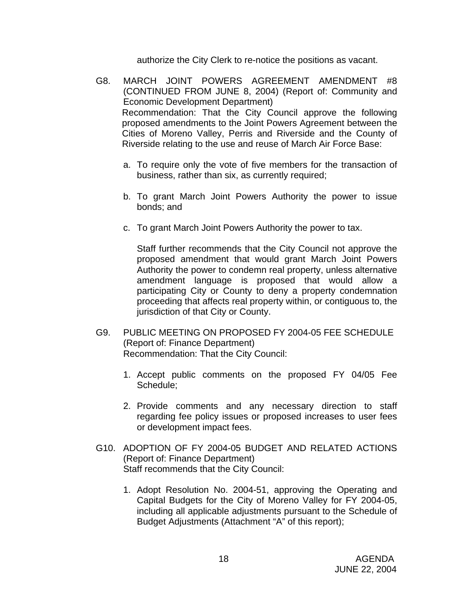authorize the City Clerk to re-notice the positions as vacant.

- G8. MARCH JOINT POWERS AGREEMENT AMENDMENT #8 (CONTINUED FROM JUNE 8, 2004) (Report of: Community and Economic Development Department) Recommendation: That the City Council approve the following proposed amendments to the Joint Powers Agreement between the Cities of Moreno Valley, Perris and Riverside and the County of Riverside relating to the use and reuse of March Air Force Base:
	- a. To require only the vote of five members for the transaction of business, rather than six, as currently required;
	- b. To grant March Joint Powers Authority the power to issue bonds; and
	- c. To grant March Joint Powers Authority the power to tax.

Staff further recommends that the City Council not approve the proposed amendment that would grant March Joint Powers Authority the power to condemn real property, unless alternative amendment language is proposed that would allow a participating City or County to deny a property condemnation proceeding that affects real property within, or contiguous to, the jurisdiction of that City or County.

- G9. PUBLIC MEETING ON PROPOSED FY 2004-05 FEE SCHEDULE (Report of: Finance Department) Recommendation: That the City Council:
	- 1. Accept public comments on the proposed FY 04/05 Fee Schedule;
	- 2. Provide comments and any necessary direction to staff regarding fee policy issues or proposed increases to user fees or development impact fees.
- G10. ADOPTION OF FY 2004-05 BUDGET AND RELATED ACTIONS (Report of: Finance Department) Staff recommends that the City Council:
	- 1. Adopt Resolution No. 2004-51, approving the Operating and Capital Budgets for the City of Moreno Valley for FY 2004-05, including all applicable adjustments pursuant to the Schedule of Budget Adjustments (Attachment "A" of this report);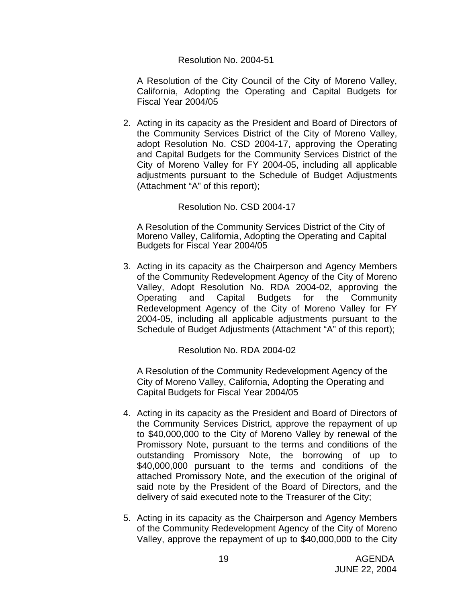#### Resolution No. 2004-51

 A Resolution of the City Council of the City of Moreno Valley, California, Adopting the Operating and Capital Budgets for Fiscal Year 2004/05

2. Acting in its capacity as the President and Board of Directors of the Community Services District of the City of Moreno Valley, adopt Resolution No. CSD 2004-17, approving the Operating and Capital Budgets for the Community Services District of the City of Moreno Valley for FY 2004-05, including all applicable adjustments pursuant to the Schedule of Budget Adjustments (Attachment "A" of this report);

Resolution No. CSD 2004-17

 A Resolution of the Community Services District of the City of Moreno Valley, California, Adopting the Operating and Capital Budgets for Fiscal Year 2004/05

3. Acting in its capacity as the Chairperson and Agency Members of the Community Redevelopment Agency of the City of Moreno Valley, Adopt Resolution No. RDA 2004-02, approving the Operating and Capital Budgets for the Community Redevelopment Agency of the City of Moreno Valley for FY 2004-05, including all applicable adjustments pursuant to the Schedule of Budget Adjustments (Attachment "A" of this report);

Resolution No. RDA 2004-02

A Resolution of the Community Redevelopment Agency of the City of Moreno Valley, California, Adopting the Operating and Capital Budgets for Fiscal Year 2004/05

- 4. Acting in its capacity as the President and Board of Directors of the Community Services District, approve the repayment of up to \$40,000,000 to the City of Moreno Valley by renewal of the Promissory Note, pursuant to the terms and conditions of the outstanding Promissory Note, the borrowing of up to \$40,000,000 pursuant to the terms and conditions of the attached Promissory Note, and the execution of the original of said note by the President of the Board of Directors, and the delivery of said executed note to the Treasurer of the City;
- 5. Acting in its capacity as the Chairperson and Agency Members of the Community Redevelopment Agency of the City of Moreno Valley, approve the repayment of up to \$40,000,000 to the City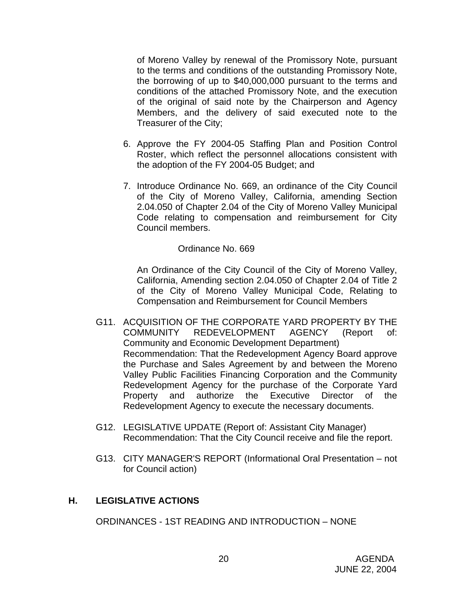of Moreno Valley by renewal of the Promissory Note, pursuant to the terms and conditions of the outstanding Promissory Note, the borrowing of up to \$40,000,000 pursuant to the terms and conditions of the attached Promissory Note, and the execution of the original of said note by the Chairperson and Agency Members, and the delivery of said executed note to the Treasurer of the City;

- 6. Approve the FY 2004-05 Staffing Plan and Position Control Roster, which reflect the personnel allocations consistent with the adoption of the FY 2004-05 Budget; and
- 7. Introduce Ordinance No. 669, an ordinance of the City Council of the City of Moreno Valley, California, amending Section 2.04.050 of Chapter 2.04 of the City of Moreno Valley Municipal Code relating to compensation and reimbursement for City Council members.

#### Ordinance No. 669

An Ordinance of the City Council of the City of Moreno Valley, California, Amending section 2.04.050 of Chapter 2.04 of Title 2 of the City of Moreno Valley Municipal Code, Relating to Compensation and Reimbursement for Council Members

- G11. ACQUISITION OF THE CORPORATE YARD PROPERTY BY THE COMMUNITY REDEVELOPMENT AGENCY (Report of: Community and Economic Development Department) Recommendation: That the Redevelopment Agency Board approve the Purchase and Sales Agreement by and between the Moreno Valley Public Facilities Financing Corporation and the Community Redevelopment Agency for the purchase of the Corporate Yard Property and authorize the Executive Director of the Redevelopment Agency to execute the necessary documents.
- G12. LEGISLATIVE UPDATE (Report of: Assistant City Manager) Recommendation: That the City Council receive and file the report.
- G13. CITY MANAGER'S REPORT (Informational Oral Presentation not for Council action)

### **H. LEGISLATIVE ACTIONS**

ORDINANCES - 1ST READING AND INTRODUCTION – NONE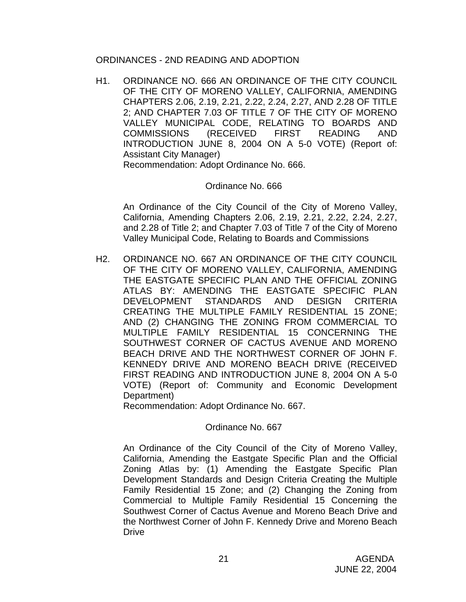#### ORDINANCES - 2ND READING AND ADOPTION

 H1. ORDINANCE NO. 666 AN ORDINANCE OF THE CITY COUNCIL OF THE CITY OF MORENO VALLEY, CALIFORNIA, AMENDING CHAPTERS 2.06, 2.19, 2.21, 2.22, 2.24, 2.27, AND 2.28 OF TITLE 2; AND CHAPTER 7.03 OF TITLE 7 OF THE CITY OF MORENO VALLEY MUNICIPAL CODE, RELATING TO BOARDS AND COMMISSIONS (RECEIVED FIRST READING AND INTRODUCTION JUNE 8, 2004 ON A 5-0 VOTE) (Report of: Assistant City Manager) Recommendation: Adopt Ordinance No. 666.

#### Ordinance No. 666

 An Ordinance of the City Council of the City of Moreno Valley, California, Amending Chapters 2.06, 2.19, 2.21, 2.22, 2.24, 2.27, and 2.28 of Title 2; and Chapter 7.03 of Title 7 of the City of Moreno Valley Municipal Code, Relating to Boards and Commissions

H2. ORDINANCE NO. 667 AN ORDINANCE OF THE CITY COUNCIL OF THE CITY OF MORENO VALLEY, CALIFORNIA, AMENDING THE EASTGATE SPECIFIC PLAN AND THE OFFICIAL ZONING ATLAS BY: AMENDING THE EASTGATE SPECIFIC PLAN DEVELOPMENT STANDARDS AND DESIGN CRITERIA CREATING THE MULTIPLE FAMILY RESIDENTIAL 15 ZONE; AND (2) CHANGING THE ZONING FROM COMMERCIAL TO MULTIPLE FAMILY RESIDENTIAL 15 CONCERNING THE SOUTHWEST CORNER OF CACTUS AVENUE AND MORENO BEACH DRIVE AND THE NORTHWEST CORNER OF JOHN F. KENNEDY DRIVE AND MORENO BEACH DRIVE (RECEIVED FIRST READING AND INTRODUCTION JUNE 8, 2004 ON A 5-0 VOTE) (Report of: Community and Economic Development Department)

Recommendation: Adopt Ordinance No. 667.

### Ordinance No. 667

 An Ordinance of the City Council of the City of Moreno Valley, California, Amending the Eastgate Specific Plan and the Official Zoning Atlas by: (1) Amending the Eastgate Specific Plan Development Standards and Design Criteria Creating the Multiple Family Residential 15 Zone; and (2) Changing the Zoning from Commercial to Multiple Family Residential 15 Concerning the Southwest Corner of Cactus Avenue and Moreno Beach Drive and the Northwest Corner of John F. Kennedy Drive and Moreno Beach Drive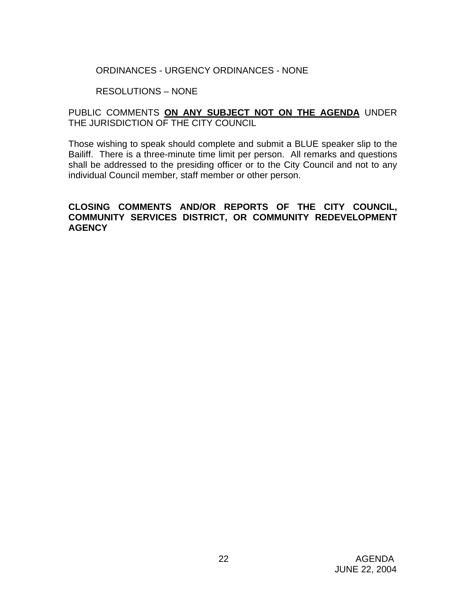### ORDINANCES - URGENCY ORDINANCES - NONE

### RESOLUTIONS – NONE

### PUBLIC COMMENTS **ON ANY SUBJECT NOT ON THE AGENDA** UNDER THE JURISDICTION OF THE CITY COUNCIL

Those wishing to speak should complete and submit a BLUE speaker slip to the Bailiff. There is a three-minute time limit per person. All remarks and questions shall be addressed to the presiding officer or to the City Council and not to any individual Council member, staff member or other person.

### **CLOSING COMMENTS AND/OR REPORTS OF THE CITY COUNCIL, COMMUNITY SERVICES DISTRICT, OR COMMUNITY REDEVELOPMENT AGENCY**